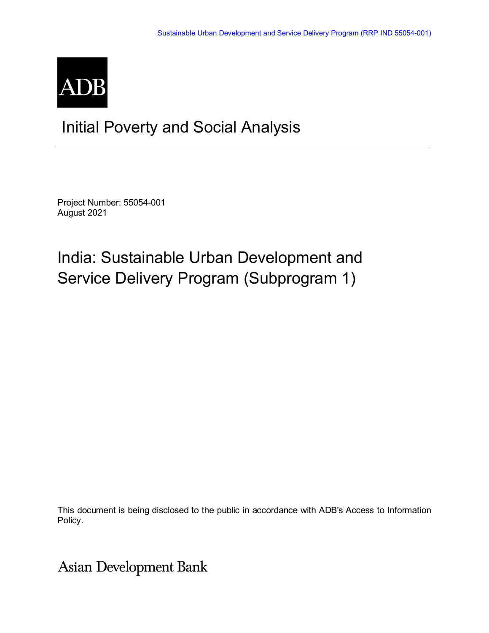

## Initial Poverty and Social Analysis

Project Number: 55054-001 August 2021

# India: Sustainable Urban Development and Service Delivery Program (Subprogram 1)

This document is being disclosed to the public in accordance with ADB's Access to Information Policy.

**Asian Development Bank**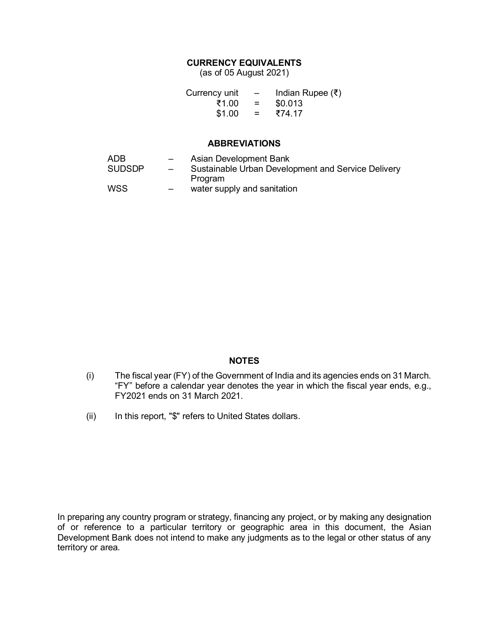### **CURRENCY EQUIVALENTS**

(as of 05 August 2021)

| Currency unit | $\overline{\phantom{0}}$ | Indian Rupee (₹) |
|---------------|--------------------------|------------------|
| ₹1.00         | $=$                      | \$0.013          |
| \$1.00        | $=$                      | ₹74.17           |

#### **ABBREVIATIONS**

| ADB           | $-$                      | Asian Development Bank                             |
|---------------|--------------------------|----------------------------------------------------|
| <b>SUDSDP</b> | $\overline{\phantom{0}}$ | Sustainable Urban Development and Service Delivery |
|               |                          | Program                                            |
| WSS           | $\overline{\phantom{0}}$ | water supply and sanitation                        |

## **NOTES**

- (i) The fiscal year (FY) of the Government of India and its agencies ends on 31 March. "FY" before a calendar year denotes the year in which the fiscal year ends, e.g., FY2021 ends on 31 March 2021.
- (ii) In this report, "\$" refers to United States dollars.

In preparing any country program or strategy, financing any project, or by making any designation of or reference to a particular territory or geographic area in this document, the Asian Development Bank does not intend to make any judgments as to the legal or other status of any territory or area.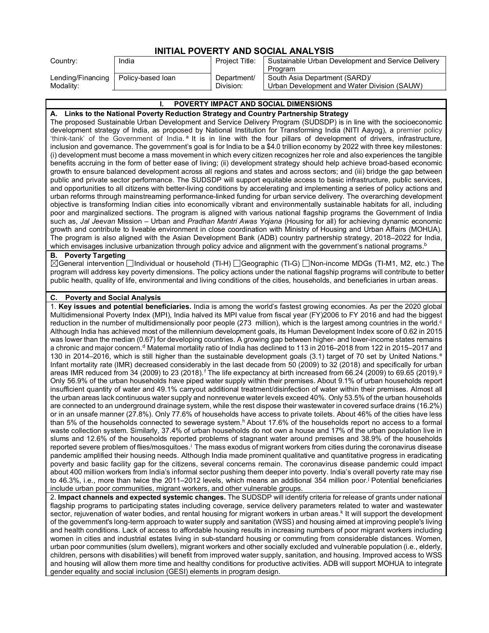| INITIAL POVERTY AND SOCIAL ANALYSIS |                   |                |                                                    |  |  |
|-------------------------------------|-------------------|----------------|----------------------------------------------------|--|--|
| Country:                            | India             | Project Title: | Sustainable Urban Development and Service Delivery |  |  |
|                                     |                   |                | Program                                            |  |  |
| Lending/Financing                   | Policy-based loan | Department/    | South Asia Department (SARD)/                      |  |  |
| Modality:                           |                   | Division:      | Urban Development and Water Division (SAUW)        |  |  |

#### **I. POVERTY IMPACT AND SOCIAL DIMENSIONS A. Links to the National Poverty Reduction Strategy and Country Partnership Strategy** The proposed Sustainable Urban Development and Service Delivery Program (SUDSDP) is in line with the socioeconomic development strategy of India, as proposed by National Institution for Transforming India (NITI Aayog), a premier policy 'think-tank' of the Government of India. [a](#page-4-0) It is in line with the four pillars of development of drivers, infrastructure, inclusion and governance. The government's goal is for India to be a \$4.0 trillion economy by 2022 with three key milestones: (i) development must become a mass movement in which every citizen recognizes her role and also experiences the tangible benefits accruing in the form of better ease of living; (ii) development strategy should help achieve broad-based economic growth to ensure balanced development across all regions and states and across sectors; and (iii) bridge the gap between public and private sector performance. The SUDSDP will support equitable access to basic infrastructure, public services, and opportunities to all citizens with better-living conditions by accelerating and implementing a series of policy actions and urban reforms through mainstreaming performance-linked funding for urban service delivery. The overarching development objective is transforming Indian cities into economically vibrant and environmentally sustainable habitats for all, including poor and marginalized sections. The program is aligned with various national flagship programs the Government of India such as, *Jal Jeevan* Mission – Urban and *Pradhan Mantri Awas Yojana* (Housing for all) for achieving dynamic economic growth and contribute to liveable environment in close coordination with Ministry of Housing and Urban Affairs (MOHUA). The program is also aligned with the Asian Development Bank (ADB) country partnership strategy, 2018–2022 for India, which envisages inclusive urbanization through policy advice and alignment with the government's national programs. [b](#page-4-1) **B. Poverty Targeting**  $\boxtimes$ General intervention  $\Box$ Individual or household (TI-H)  $\Box$ Geographic (TI-G)  $\Box$ Non-income MDGs (TI-M1, M2, etc.) The program will address key poverty dimensions. The policy actions under the national flagship programs will contribute to better public health, quality of life, environmental and living conditions of the cities, households, and beneficiaries in urban areas. **C. Poverty and Social Analysis** 1. **Key issues and potential beneficiaries.** India is among the world's fastest growing economies. As per the 2020 global Multidimensional Poverty Index (MPI), India halved its MPI value from fiscal year (FY)2006 to FY 2016 and had the biggest reduction in the number of multidimensionally poor people (273 million), which is the largest among countries in the world.<sup>c</sup> Although India has achieved most of the millennium development goals, its Human Development Index score of 0.62 in 2015 was lower than the median (0.67) for developing countries. A growing gap between higher- and lower-income states remains a chronic an[d](#page-4-3) major concern.<sup>d</sup> Maternal mortality ratio of India has declined to 113 in 2016–2018 from 122 in 2015–2017 and 130 in 2014–2016, which is still high[e](#page-4-4)r than the sustainable development goals (3.1) target of 70 set by United Nations.<sup>e</sup> Infant mortality rate (IMR) decreased considerably in the last decade from 50 (2009) to 32 (2018) and specifically for urban areas IMR reduced [f](#page-4-5)rom 34 (2009) to 23 (2018).<sup>f</sup> The life expectancy at birth increased from 66.24 (2009) to 69.65 (2019).<sup>[g](#page-4-6)</sup> Only 56.9% of the urban households have piped water supply within their premises. About 9.1% of urban households report insufficient quantity of water and 49.1% carryout additional treatment/disinfection of water within their premises. Almost all the urban areas lack continuous water supply and nonrevenue water levels exceed 40%. Only 53.5% of the urban households are connected to an underground drainage system, while the rest dispose their wastewater in covered surface drains (16.2%) or in an unsafe manner (27.8%). Only 77.6% of households have access to private toilets. About 46% of the cities have less than 5% of the households connected to sewerage system.<sup>h</sup> About 17.6% of the households report no access to a formal waste collection system. Similarly, 37.4% of urban households do not own a house and 17% of the urban population live in slums and 12.6% of the households reported problems of stagnant water around premises and 38.9% of the households reported severe problem of fl[i](#page-4-8)es/mosquitoes.<sup>i</sup> The mass exodus of migrant workers from cities during the coronavirus disease pandemic amplified their housing needs. Although India made prominent qualitative and quantitative progress in eradicating poverty and basic facility gap for the citizens, several concerns remain. The coronavirus disease pandemic could impact about 400 million workers from India's informal sector pushing them deeper into poverty. India's overall poverty rate may rise to 46.3%, i.e., more than twice the 2011–2012 levels, which means an additional 354 million poor.[j](#page-4-9) Potential beneficiaries include urban poor communities, migrant workers, and other vulnerable groups. 2. **Impact channels and expected systemic changes.** The SUDSDP will identify criteria for release of grants under national flagship programs to participating states including coverage, service delivery parameters related to water and wastewater sector, rejuvenation of water bodies, and rental housing for migrant wor[k](#page-4-10)ers in urban areas.<sup>k</sup> It will support the development of the government's long-term approach to water supply and sanitation (WSS) and housing aimed at improving people's living and health conditions. Lack of access to affordable housing results in increasing numbers of poor migrant workers including women in cities and industrial estates living in sub-standard housing or commuting from considerable distances. Women, urban poor communities (slum dwellers), migrant workers and other socially excluded and vulnerable population (i.e., elderly,

children, persons with disabilities) will benefit from improved water supply, sanitation, and housing. Improved access to WSS and housing will allow them more time and healthy conditions for productive activities. ADB will support MOHUA to integrate gender equality and social inclusion (GESI) elements in program design.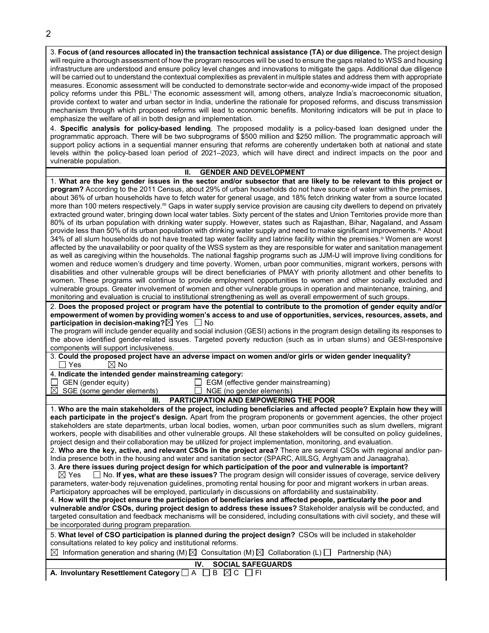3. **Focus of (and resources allocated in) the transaction technical assistance (TA) or due diligence.** The project design will require a thorough assessment of how the program resources will be used to ensure the gaps related to WSS and housing infrastructure are understood and ensure policy level changes and innovations to mitigate the gaps. Additional due diligence will be carried out to understand the contextual complexities as prevalent in multiple states and address them with appropriate measures. Economic assessment will be conducted to demonstrate sector-wide and economy-wide impact of the proposed po[l](#page-4-11)icy reforms under this PBL.<sup>I</sup> The economic assessment will, among others, analyze India's macroeconomic situation, provide context to water and urban sector in India, underline the rationale for proposed reforms, and discuss transmission mechanism through which proposed reforms will lead to economic benefits. Monitoring indicators will be put in place to emphasize the welfare of all in both design and implementation.

4. **Specific analysis for policy-based lending**. The proposed modality is a policy-based loan designed under the programmatic approach. There will be two subprograms of \$500 million and \$250 million. The programmatic approach will support policy actions in a sequential manner ensuring that reforms are coherently undertaken both at national and state levels within the policy-based loan period of 2021–2023, which will have direct and indirect impacts on the poor and vulnerable population.

### **II. GENDER AND DEVELOPMENT**

| <b>OLIVELIA AND DEVELOI MILIVI</b>                                                                                                                                                                                                                                                                                                                                                                                                                                                                                                                                                                                                                                                                                                                                                                                                                                                                                                                                                                                                                                                                                                                                                                                                                                                                                                                                                                                                                                                                                                                                                                                                                                                                                                                                                                                                                                                                                                                                                                                                                                                                                                                                                                                                                              |
|-----------------------------------------------------------------------------------------------------------------------------------------------------------------------------------------------------------------------------------------------------------------------------------------------------------------------------------------------------------------------------------------------------------------------------------------------------------------------------------------------------------------------------------------------------------------------------------------------------------------------------------------------------------------------------------------------------------------------------------------------------------------------------------------------------------------------------------------------------------------------------------------------------------------------------------------------------------------------------------------------------------------------------------------------------------------------------------------------------------------------------------------------------------------------------------------------------------------------------------------------------------------------------------------------------------------------------------------------------------------------------------------------------------------------------------------------------------------------------------------------------------------------------------------------------------------------------------------------------------------------------------------------------------------------------------------------------------------------------------------------------------------------------------------------------------------------------------------------------------------------------------------------------------------------------------------------------------------------------------------------------------------------------------------------------------------------------------------------------------------------------------------------------------------------------------------------------------------------------------------------------------------|
| 1. What are the key gender issues in the sector and/or subsector that are likely to be relevant to this project or<br>program? According to the 2011 Census, about 29% of urban households do not have source of water within the premises,<br>about 36% of urban households have to fetch water for general usage, and 18% fetch drinking water from a source located<br>more than 100 meters respectively. <sup>m</sup> Gaps in water supply service provision are causing city dwellers to depend on privately<br>extracted ground water, bringing down local water tables. Sixty percent of the states and Union Territories provide more than<br>80% of its urban population with drinking water supply. However, states such as Rajasthan, Bihar, Nagaland, and Assam<br>provide less than 50% of its urban population with drinking water supply and need to make significant improvements. <sup>n</sup> About<br>34% of all slum households do not have treated tap water facility and latrine facility within the premises. <sup>o</sup> Women are worst<br>affected by the unavailability or poor quality of the WSS system as they are responsible for water and sanitation management<br>as well as caregiving within the households. The national flagship programs such as JJM-U will improve living conditions for<br>women and reduce women's drudgery and time poverty. Women, urban poor communities, migrant workers, persons with<br>disabilities and other vulnerable groups will be direct beneficiaries of PMAY with priority allotment and other benefits to<br>women. These programs will continue to provide employment opportunities to women and other socially excluded and<br>vulnerable groups. Greater involvement of women and other vulnerable groups in operation and maintenance, training, and<br>monitoring and evaluation is crucial to institutional strengthening as well as overall empowerment of such groups.<br>2. Does the proposed project or program have the potential to contribute to the promotion of gender equity and/or<br>empowerment of women by providing women's access to and use of opportunities, services, resources, assets, and<br>participation in decision-making? $\boxtimes$ Yes $\Box$ No |
| The program will include gender equality and social inclusion (GESI) actions in the program design detailing its responses to                                                                                                                                                                                                                                                                                                                                                                                                                                                                                                                                                                                                                                                                                                                                                                                                                                                                                                                                                                                                                                                                                                                                                                                                                                                                                                                                                                                                                                                                                                                                                                                                                                                                                                                                                                                                                                                                                                                                                                                                                                                                                                                                   |
| the above identified gender-related issues. Targeted poverty reduction (such as in urban slums) and GESI-responsive                                                                                                                                                                                                                                                                                                                                                                                                                                                                                                                                                                                                                                                                                                                                                                                                                                                                                                                                                                                                                                                                                                                                                                                                                                                                                                                                                                                                                                                                                                                                                                                                                                                                                                                                                                                                                                                                                                                                                                                                                                                                                                                                             |
| components will support inclusiveness.                                                                                                                                                                                                                                                                                                                                                                                                                                                                                                                                                                                                                                                                                                                                                                                                                                                                                                                                                                                                                                                                                                                                                                                                                                                                                                                                                                                                                                                                                                                                                                                                                                                                                                                                                                                                                                                                                                                                                                                                                                                                                                                                                                                                                          |
|                                                                                                                                                                                                                                                                                                                                                                                                                                                                                                                                                                                                                                                                                                                                                                                                                                                                                                                                                                                                                                                                                                                                                                                                                                                                                                                                                                                                                                                                                                                                                                                                                                                                                                                                                                                                                                                                                                                                                                                                                                                                                                                                                                                                                                                                 |
| 3. Could the proposed project have an adverse impact on women and/or girls or widen gender inequality?<br>$\boxtimes$ No<br>∐ Yes                                                                                                                                                                                                                                                                                                                                                                                                                                                                                                                                                                                                                                                                                                                                                                                                                                                                                                                                                                                                                                                                                                                                                                                                                                                                                                                                                                                                                                                                                                                                                                                                                                                                                                                                                                                                                                                                                                                                                                                                                                                                                                                               |
| 4. Indicate the intended gender mainstreaming category:                                                                                                                                                                                                                                                                                                                                                                                                                                                                                                                                                                                                                                                                                                                                                                                                                                                                                                                                                                                                                                                                                                                                                                                                                                                                                                                                                                                                                                                                                                                                                                                                                                                                                                                                                                                                                                                                                                                                                                                                                                                                                                                                                                                                         |
| GEN (gender equity)<br>EGM (effective gender mainstreaming)                                                                                                                                                                                                                                                                                                                                                                                                                                                                                                                                                                                                                                                                                                                                                                                                                                                                                                                                                                                                                                                                                                                                                                                                                                                                                                                                                                                                                                                                                                                                                                                                                                                                                                                                                                                                                                                                                                                                                                                                                                                                                                                                                                                                     |
| SGE (some gender elements)<br>$\boxtimes$<br>NGE (no gender elements)                                                                                                                                                                                                                                                                                                                                                                                                                                                                                                                                                                                                                                                                                                                                                                                                                                                                                                                                                                                                                                                                                                                                                                                                                                                                                                                                                                                                                                                                                                                                                                                                                                                                                                                                                                                                                                                                                                                                                                                                                                                                                                                                                                                           |
| III.<br><b>PARTICIPATION AND EMPOWERING THE POOR</b>                                                                                                                                                                                                                                                                                                                                                                                                                                                                                                                                                                                                                                                                                                                                                                                                                                                                                                                                                                                                                                                                                                                                                                                                                                                                                                                                                                                                                                                                                                                                                                                                                                                                                                                                                                                                                                                                                                                                                                                                                                                                                                                                                                                                            |
| 1. Who are the main stakeholders of the project, including beneficiaries and affected people? Explain how they will                                                                                                                                                                                                                                                                                                                                                                                                                                                                                                                                                                                                                                                                                                                                                                                                                                                                                                                                                                                                                                                                                                                                                                                                                                                                                                                                                                                                                                                                                                                                                                                                                                                                                                                                                                                                                                                                                                                                                                                                                                                                                                                                             |
| each participate in the project's design. Apart from the program proponents or government agencies, the other project<br>stakeholders are state departments, urban local bodies, women, urban poor communities such as slum dwellers, migrant<br>workers, people with disabilities and other vulnerable groups. All these stakeholders will be consulted on policy guidelines,<br>project design and their collaboration may be utilized for project implementation, monitoring, and evaluation.<br>2. Who are the key, active, and relevant CSOs in the project area? There are several CSOs with regional and/or pan-<br>India presence both in the housing and water and sanitation sector (SPARC, AIILSG, Arghyam and Janaagraha).<br>3. Are there issues during project design for which participation of the poor and vulnerable is important?<br>$\Box$ No. If yes, what are these issues? The program design will consider issues of coverage, service delivery<br>⊠ Yes<br>parameters, water-body rejuvenation guidelines, promoting rental housing for poor and migrant workers in urban areas.<br>Participatory approaches will be employed, particularly in discussions on affordability and sustainability.<br>4. How will the project ensure the participation of beneficiaries and affected people, particularly the poor and<br>vulnerable and/or CSOs, during project design to address these issues? Stakeholder analysis will be conducted, and<br>targeted consultation and feedback mechanisms will be considered, including consultations with civil society, and these will<br>be incorporated during program preparation.                                                                                                                                                                                                                                                                                                                                                                                                                                                                                                                                                                                                               |
| 5. What level of CSO participation is planned during the project design? CSOs will be included in stakeholder<br>consultations related to key policy and institutional reforms.                                                                                                                                                                                                                                                                                                                                                                                                                                                                                                                                                                                                                                                                                                                                                                                                                                                                                                                                                                                                                                                                                                                                                                                                                                                                                                                                                                                                                                                                                                                                                                                                                                                                                                                                                                                                                                                                                                                                                                                                                                                                                 |
| Information generation and sharing (M) $\boxtimes$ Consultation (M) $\boxtimes$ Collaboration (L) $\Box$ Partnership (NA)<br>$\boxtimes$                                                                                                                                                                                                                                                                                                                                                                                                                                                                                                                                                                                                                                                                                                                                                                                                                                                                                                                                                                                                                                                                                                                                                                                                                                                                                                                                                                                                                                                                                                                                                                                                                                                                                                                                                                                                                                                                                                                                                                                                                                                                                                                        |
| IV.<br><b>SOCIAL SAFEGUARDS</b>                                                                                                                                                                                                                                                                                                                                                                                                                                                                                                                                                                                                                                                                                                                                                                                                                                                                                                                                                                                                                                                                                                                                                                                                                                                                                                                                                                                                                                                                                                                                                                                                                                                                                                                                                                                                                                                                                                                                                                                                                                                                                                                                                                                                                                 |
| A. Involuntary Resettlement Category $\Box$ A $\Box$ B $\boxtimes$ C $\Box$ FI                                                                                                                                                                                                                                                                                                                                                                                                                                                                                                                                                                                                                                                                                                                                                                                                                                                                                                                                                                                                                                                                                                                                                                                                                                                                                                                                                                                                                                                                                                                                                                                                                                                                                                                                                                                                                                                                                                                                                                                                                                                                                                                                                                                  |
|                                                                                                                                                                                                                                                                                                                                                                                                                                                                                                                                                                                                                                                                                                                                                                                                                                                                                                                                                                                                                                                                                                                                                                                                                                                                                                                                                                                                                                                                                                                                                                                                                                                                                                                                                                                                                                                                                                                                                                                                                                                                                                                                                                                                                                                                 |